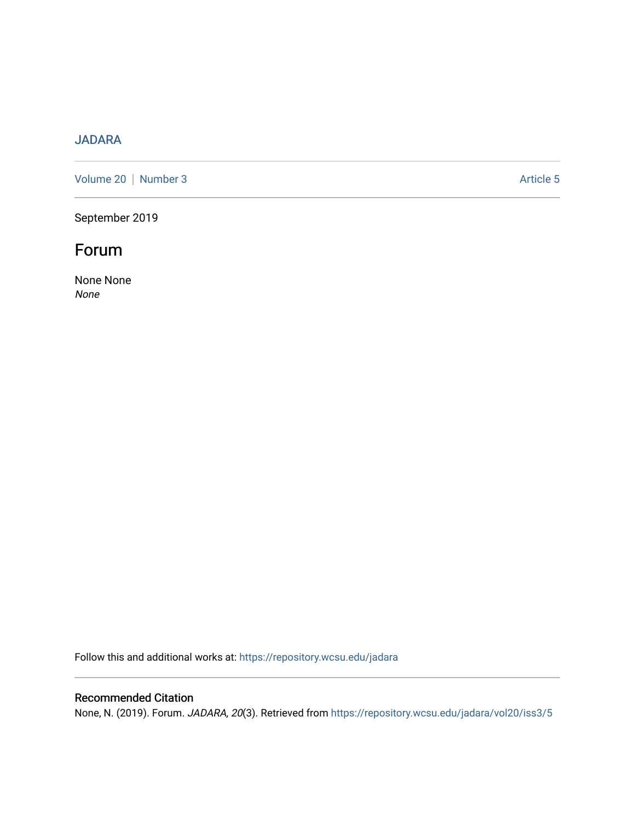# [JADARA](https://repository.wcsu.edu/jadara)

[Volume 20](https://repository.wcsu.edu/jadara/vol20) | [Number 3](https://repository.wcsu.edu/jadara/vol20/iss3) Article 5

September 2019

# Forum

None None None

Follow this and additional works at: [https://repository.wcsu.edu/jadara](https://repository.wcsu.edu/jadara?utm_source=repository.wcsu.edu%2Fjadara%2Fvol20%2Fiss3%2F5&utm_medium=PDF&utm_campaign=PDFCoverPages)

# Recommended Citation

None, N. (2019). Forum. JADARA, 20(3). Retrieved from [https://repository.wcsu.edu/jadara/vol20/iss3/5](https://repository.wcsu.edu/jadara/vol20/iss3/5?utm_source=repository.wcsu.edu%2Fjadara%2Fvol20%2Fiss3%2F5&utm_medium=PDF&utm_campaign=PDFCoverPages)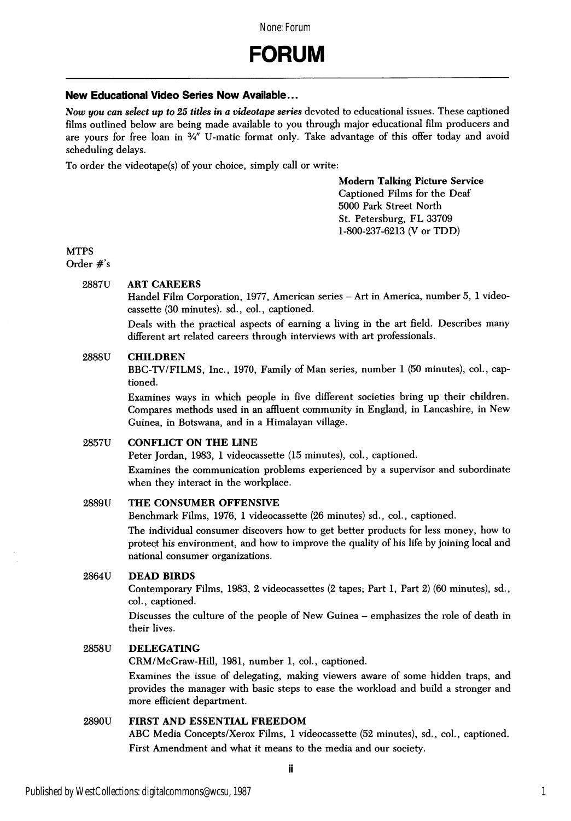# New Educational Video Series Now Available...

Now you can select up to 25 titles in a videotape series devoted to educational issues. These captioned films outlined below are being made available to you through major educational film producers and are yours for free loan in  $\frac{3}{4}$ " U-matic format only. Take advantage of this offer today and avoid scheduling delays.

To order the videotape(s) of your choice, simply call or write:

Modem Talking Picture Service Captioned Films for the Deaf 5000 Park Street North St. Petersburg, FL 33709 1-800-237-6213 (V or TDD)

# **MTPS**

Order #'s

# 2887U ART CAREERS

Handel Film Corporation, 1977, American series - Art in America, number 5, 1 videocassette (30 minutes), sd., col., captioned.

Deals with the practical aspects of earning a living in the art field. Describes many different art related careers through interviews with art professionals.

#### 2888U CHILDREN

BBC-TV/FILMS, Inc., 1970, Family of Man series, number 1 (50 minutes), col., cap tioned.

Examines ways in which people in five different societies bring up their children. Compares methods used in an affluent community in England, in Lancashire, in New Guinea, in Botswana, and in a Himalayan village.

# 2857U CONFLICT ON THE LINE

Peter Jordan, 1983, 1 videocassette (15 minutes), col., captioned.

Examines the communication problems experienced by a supervisor and subordinate when they interact in the workplace.

#### 2889U THE CONSUMER OFFENSIVE

Benchmark Films, 1976, 1 videocassette (26 minutes) sd., col., captioned.

The individual consumer discovers how to get better products for less money, how to protect his environment, and how to improve the quality of his life by joining local and national consumer organizations.

# 2864U DEAD BIRDS

Contemporary Films, 1983, 2 videocassettes (2 tapes; Part 1, Part 2) (60 minutes), sd., col., captioned.

Discusses the culture of the people of New Guinea - emphasizes the role of death in their lives.

#### 2858U DELEGATING

CRM/McGraw-Hill, 1981, number 1, col., captioned.

Examines the issue of delegating, making viewers aware of some hidden traps, and provides the manager with basic steps to ease the workload and build a stronger and more efficient department.

# 2890U FIRST AND ESSENTIAL FREEDOM

ABC Media Concepts/Xerox Films, 1 videocassette (52 minutes), sd., col., captioned. First Amendment and what it means to the media and our society.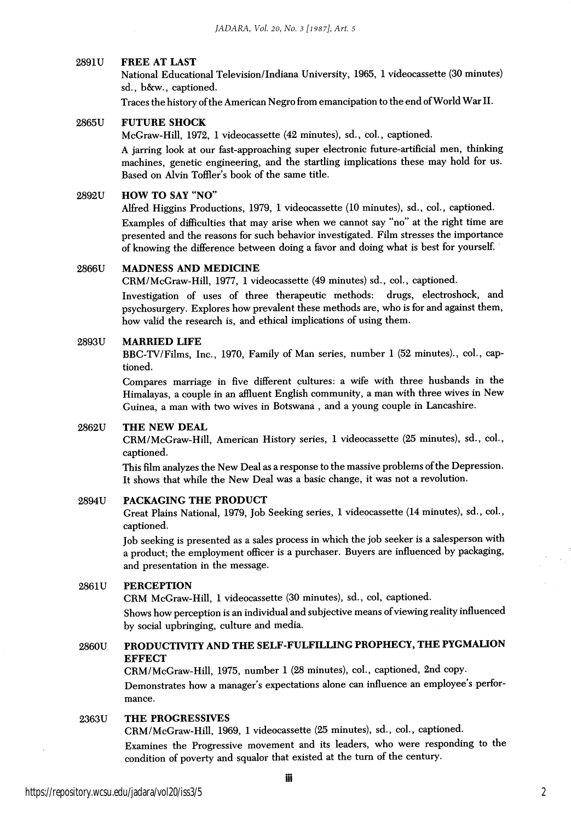#### 2891U FREE AT LAST

National Educational Television/Indiana University, 1965, 1 videocassette (30 minutes) sd., b&w., captioned.

Traces the history of the American Negro from emancipation to the end of World War II.

# 2865U FUTURE SHOCK

McGraw-Hill, 1972, 1 videocassette (42 minutes), sd., col., captioned.

A jarring look at our fast-approaching super electronic future-artificial men, thinking machines, genetic engineering, and the startling implications these may hold for us. Based on Alvin Toffler's book of the same title.

#### 2892U HOW TO SAY "NO"

Alfred Higgins Productions, 1979, 1 videocassette (10 minutes), sd., col., captioned. Examples of difficulties that may arise when we cannot say "no" at the right time are presented and the reasons for such behavior investigated. Film stresses the importance of knowing the difference between doing a favor and doing what is best for yourself.

#### 2866U MADNESS AND MEDICINE

CRM/McGraw-Hill, 1977, 1 videocassette (49 minutes) sd., col., captioned.

Investigation of uses of three therapeutic methods: drugs, electroshock, and psychosurgery. Explores how prevalent these methods are, who is for and against them, how valid the research is, and ethical implications of using them.

#### 2893U MARRIED LIFE

BBG-TV/Films, Inc., 1970, Family of Man series, number 1 (52 minutes)., col., cap tioned.

Compares marriage in five different cultures: a wife with three husbands in the Himalayas, a couple in an affluent English community, a man with three wives in New Guinea, a man with two wives in Botswana , and a young couple in Lancashire.

#### 2862U THE NEW DEAL

CRM/McGraw-Hill, American History series, 1 videocassette (25 minutes), sd., col., captioned.

This film analyzes the New Deal as a response to the massive problems of the Depression. It shows that while the New Deal was a basic change, it was not a revolution.

# 2894U PACKAGING THE PRODUCT

Great Plains National, 1979, Job Seeking series, 1 videocassette (14 minutes), sd., col., captioned.

Job seeking is presented as a sales process in which the job seeker is a salesperson with a product; the employment officer is a purchaser. Buyers are influenced by packaging, and presentation in the message.

#### 2861U PERCEPTION

CRM McGraw-Hill, 1 videocassette (30 minutes), sd., col, captioned.

Shows how perception is an individual and subjective means of viewing reality influenced by social upbringing, culture and media.

# 2860U PRODUCTIVITY AND THE SELF-FULFILLING PROPHECY, THE PYGMAUON **EFFECT**

CRM/McGraw-Hill, 1975, number 1 (28 minutes), col., captioned, 2nd copy. Demonstrates how a manager's expectations alone can influence an employee's performance.

# 2363U THE PROGRESSIVES

CRM/McGraw-Hill, 1969, 1 videocassette (25 minutes), sd., col., captioned. Examines the Progressive movement and its leaders, who were responding to the condition of poverty and squalor that existed at the turn of the century.